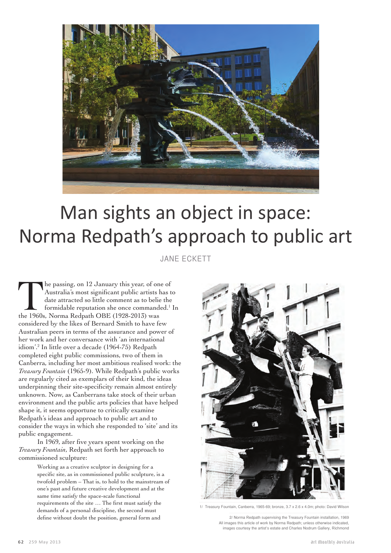

## Man sights an object in space: Norma Redpath's approach to public art

JANE ECKETT

The passing, on 12 January this year, of one of Australia's most significant public artists has that date attracted so little comment as to belie the formidable reputation she once commanded.<sup>1</sup> the 1960s, Norma Redpath OB Australia's most significant public artists has to date attracted so little comment as to belie the formidable reputation she once commanded.<sup>1</sup> In considered by the likes of Bernard Smith to have few Australian peers in terms of the assurance and power of her work and her conversance with 'an international idiom'.2 In little over a decade (1964-75) Redpath completed eight public commissions, two of them in Canberra, including her most ambitious realised work: the *Treasury Fountain* (1965-9). While Redpath's public works are regularly cited as exemplars of their kind, the ideas underpinning their site-specificity remain almost entirely unknown. Now, as Canberrans take stock of their urban environment and the public arts policies that have helped shape it, it seems opportune to critically examine Redpath's ideas and approach to public art and to consider the ways in which she responded to 'site' and its public engagement.

In 1969, after five years spent working on the *Treasury Fountain*, Redpath set forth her approach to commissioned sculpture:

> Working as a creative sculptor in designing for a specific site, as in commissioned public sculpture, is a twofold problem – That is, to hold to the mainstream of one's past and future creative development and at the same time satisfy the space-scale functional requirements of the site … The first must satisfy the demands of a personal discipline, the second must define without doubt the position, general form and



1/ Treasury Fountain, Canberra, 1965-69; bronze, 3.7 x 2.6 x 4.0m; photo: David Wilson

2/ Norma Redpath supervising the Treasury Fountain installation, 1969 All images this article of work by Norma Redpath; unless otherwise indicated, images courtesy the artist's estate and Charles Nodrum Gallery, Richmond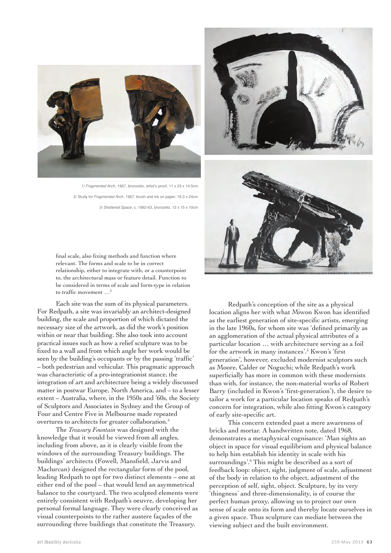

1/ Fragmented Arch, 1967, bronzetto, artist's proof, 11 x 23 x 14.5cm 2/ Study for Fragmented Arch, 1967, brush and ink on paper, 16.3 x 24cm 3/ Sheltered Space, c. 1962-63, bronzetto, 12 x 15 x 10cm



final scale, also fixing methods and function where relevant. The forms and scale to be in correct relationship, either to integrate with, or a counterpoint to, the architectural mass or feature detail. Function to be considered in terms of scale and form-type in relation to traffic movement …<sup>3</sup>

Each site was the sum of its physical parameters. For Redpath, a site was invariably an architect-designed building, the scale and proportion of which dictated the necessary size of the artwork, as did the work's position within or near that building. She also took into account practical issues such as how a relief sculpture was to be fixed to a wall and from which angle her work would be seen by the building's occupants or by the passing 'traffic' – both pedestrian and vehicular. This pragmatic approach was characteristic of a pro-integrationist stance, the integration of art and architecture being a widely discussed matter in postwar Europe, North America, and – to a lesser extent – Australia, where, in the 1950s and '60s, the Society of Sculptors and Associates in Sydney and the Group of Four and Centre Five in Melbourne made repeated overtures to architects for greater collaboration.4

The *Treasury Fountain* was designed with the knowledge that it would be viewed from all angles, including from above, as it is clearly visible from the windows of the surrounding Treasury buildings. The buildings' architects (Fowell, Mansfield, Jarvis and Maclurcan) designed the rectangular form of the pool, leading Redpath to opt for two distinct elements – one at either end of the pool – that would lend an asymmetrical balance to the courtyard. The two sculpted elements were entirely consistent with Redpath's oeuvre, developing her personal formal language. They were clearly conceived as visual counterpoints to the rather austere façades of the surrounding three buildings that constitute the Treasury.

Redpath's conception of the site as a physical location aligns her with what Miwon Kwon has identified as the earliest generation of site-specific artists, emerging in the late 1960s, for whom site was 'defined primarily as an agglomeration of the actual physical attributes of a particular location … with architecture serving as a foil for the artwork in many instances'.<sup>5</sup> Kwon's 'first generation', however, excluded modernist sculptors such as Moore, Calder or Noguchi; while Redpath's work superficially has more in common with these modernists than with, for instance, the non-material works of Robert Barry (included in Kwon's 'first-generation'), the desire to tailor a work for a particular location speaks of Redpath's concern for integration, while also fitting Kwon's category of early site-specific art.

This concern extended past a mere awareness of bricks and mortar. A handwritten note, dated 1968, demonstrates a metaphysical cognisance: 'Man sights an object in space for visual equilibrium and physical balance to help him establish his identity in scale with his surroundings'.<sup>6</sup> This might be described as a sort of feedback loop: object, sight, judgment of scale, adjustment of the body in relation to the object, adjustment of the perception of self, sight, object. Sculpture, by its very 'thingness' and three-dimensionality, is of course the perfect human proxy, allowing us to project our own sense of scale onto its form and thereby locate ourselves in a given space. Thus sculpture can mediate between the viewing subject and the built environment.